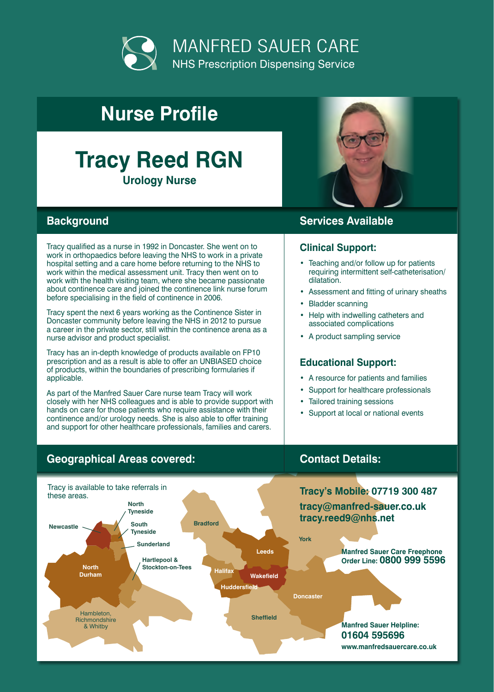

# **Nurse Profile**

# **Tracy Reed RGN Urology Nurse**



### **Background Services Available**

Tracy qualified as a nurse in 1992 in Doncaster. She went on to work in orthopaedics before leaving the NHS to work in a private hospital setting and a care home before returning to the NHS to work within the medical assessment unit. Tracy then went on to work with the health visiting team, where she became passionate about continence care and joined the continence link nurse forum before specialising in the field of continence in 2006.

Tracy spent the next 6 years working as the Continence Sister in Doncaster community before leaving the NHS in 2012 to pursue a career in the private sector, still within the continence arena as a nurse advisor and product specialist.

Tracy has an in-depth knowledge of products available on FP10 prescription and as a result is able to offer an UNBIASED choice of products, within the boundaries of prescribing formularies if applicable.

As part of the Manfred Sauer Care nurse team Tracy will work closely with her NHS colleagues and is able to provide support with hands on care for those patients who require assistance with their continence and/or urology needs. She is also able to offer training and support for other healthcare professionals, families and carers.

### **Geographical Areas covered: Contact Details:**



## **Clinical Support:**

- Teaching and/or follow up for patients requiring intermittent self-catheterisation/ dilatation.
- Assessment and fitting of urinary sheaths
- **Bladder scanning**
- Help with indwelling catheters and associated complications
- A product sampling service

### **Educational Support:**

- A resource for patients and families
- Support for healthcare professionals
- Tailored training sessions
- Support at local or national events